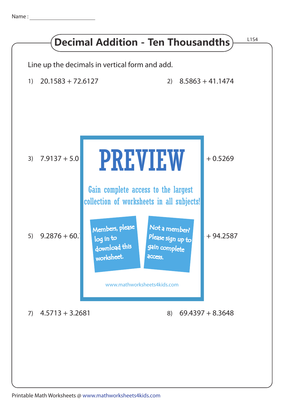